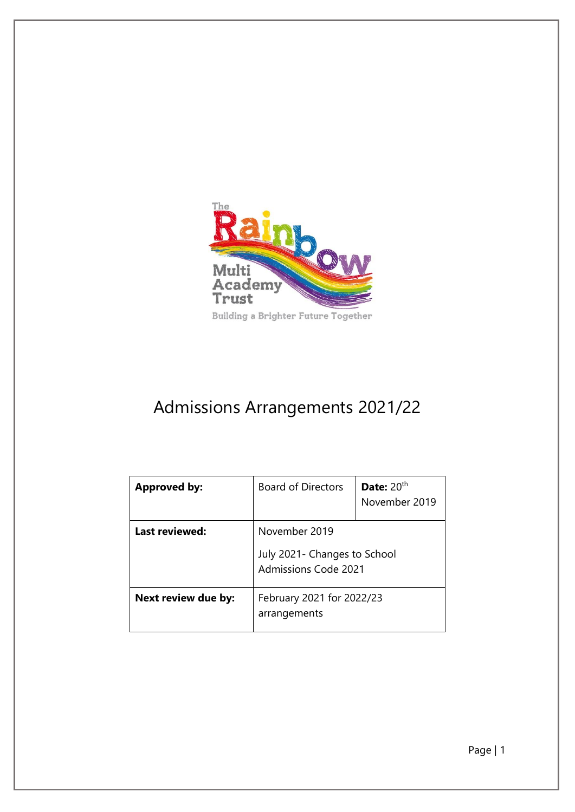

# Admissions Arrangements 2021/22

| <b>Approved by:</b>   | <b>Board of Directors</b>                                                     | Date: $20th$<br>November 2019 |
|-----------------------|-------------------------------------------------------------------------------|-------------------------------|
| <b>Last reviewed:</b> | November 2019<br>July 2021 - Changes to School<br><b>Admissions Code 2021</b> |                               |
| Next review due by:   | February 2021 for 2022/23<br>arrangements                                     |                               |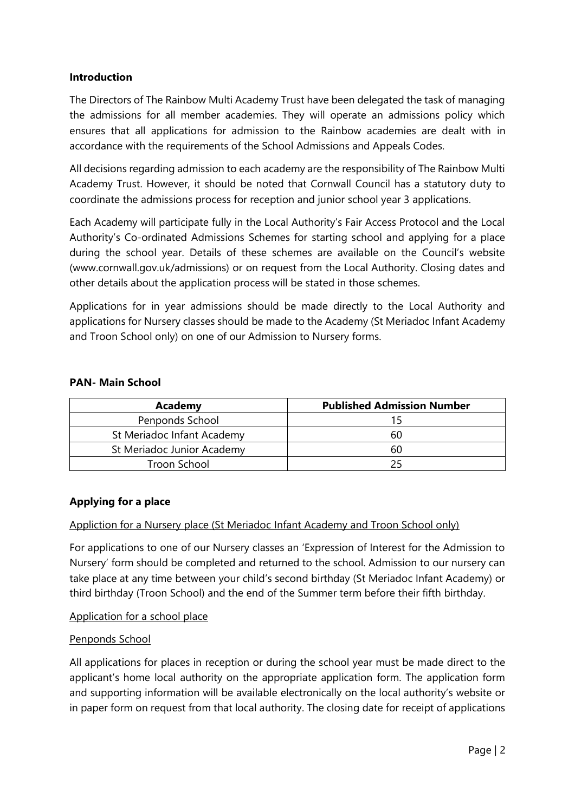# **Introduction**

The Directors of The Rainbow Multi Academy Trust have been delegated the task of managing the admissions for all member academies. They will operate an admissions policy which ensures that all applications for admission to the Rainbow academies are dealt with in accordance with the requirements of the School Admissions and Appeals Codes.

All decisions regarding admission to each academy are the responsibility of The Rainbow Multi Academy Trust. However, it should be noted that Cornwall Council has a statutory duty to coordinate the admissions process for reception and junior school year 3 applications.

Each Academy will participate fully in the Local Authority's Fair Access Protocol and the Local Authority's Co-ordinated Admissions Schemes for starting school and applying for a place during the school year. Details of these schemes are available on the Council's website (www.cornwall.gov.uk/admissions) or on request from the Local Authority. Closing dates and other details about the application process will be stated in those schemes.

Applications for in year admissions should be made directly to the Local Authority and applications for Nursery classes should be made to the Academy (St Meriadoc Infant Academy and Troon School only) on one of our Admission to Nursery forms.

#### **PAN- Main School**

| Academy                    | <b>Published Admission Number</b> |
|----------------------------|-----------------------------------|
| Penponds School            |                                   |
| St Meriadoc Infant Academy | 60                                |
| St Meriadoc Junior Academy | 60                                |
| Troon School               |                                   |

# **Applying for a place**

Appliction for a Nursery place (St Meriadoc Infant Academy and Troon School only)

For applications to one of our Nursery classes an 'Expression of Interest for the Admission to Nursery' form should be completed and returned to the school. Admission to our nursery can take place at any time between your child's second birthday (St Meriadoc Infant Academy) or third birthday (Troon School) and the end of the Summer term before their fifth birthday.

# Application for a school place

#### Penponds School

All applications for places in reception or during the school year must be made direct to the applicant's home local authority on the appropriate application form. The application form and supporting information will be available electronically on the local authority's website or in paper form on request from that local authority. The closing date for receipt of applications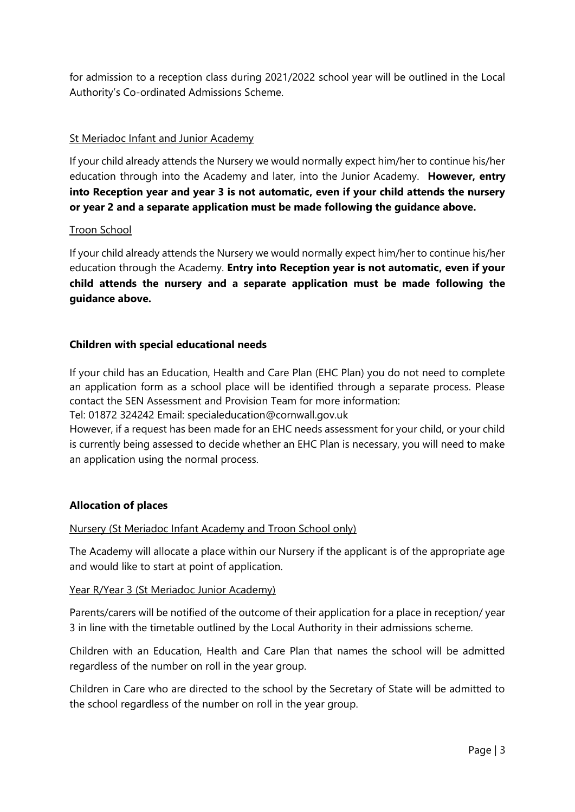for admission to a reception class during 2021/2022 school year will be outlined in the Local Authority's Co-ordinated Admissions Scheme.

## St Meriadoc Infant and Junior Academy

If your child already attends the Nursery we would normally expect him/her to continue his/her education through into the Academy and later, into the Junior Academy. **However, entry into Reception year and year 3 is not automatic, even if your child attends the nursery or year 2 and a separate application must be made following the guidance above.**

#### Troon School

If your child already attends the Nursery we would normally expect him/her to continue his/her education through the Academy. **Entry into Reception year is not automatic, even if your child attends the nursery and a separate application must be made following the guidance above.**

#### **Children with special educational needs**

If your child has an Education, Health and Care Plan (EHC Plan) you do not need to complete an application form as a school place will be identified through a separate process. Please contact the SEN Assessment and Provision Team for more information:

Tel: 01872 324242 Email: specialeducation@cornwall.gov.uk

However, if a request has been made for an EHC needs assessment for your child, or your child is currently being assessed to decide whether an EHC Plan is necessary, you will need to make an application using the normal process.

#### **Allocation of places**

#### Nursery (St Meriadoc Infant Academy and Troon School only)

The Academy will allocate a place within our Nursery if the applicant is of the appropriate age and would like to start at point of application.

#### Year R/Year 3 (St Meriadoc Junior Academy)

Parents/carers will be notified of the outcome of their application for a place in reception/ year 3 in line with the timetable outlined by the Local Authority in their admissions scheme.

Children with an Education, Health and Care Plan that names the school will be admitted regardless of the number on roll in the year group.

Children in Care who are directed to the school by the Secretary of State will be admitted to the school regardless of the number on roll in the year group.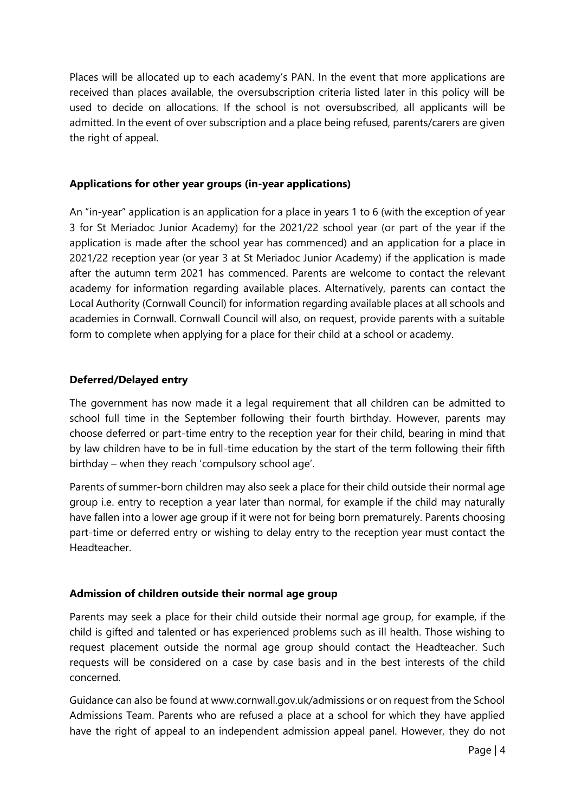Places will be allocated up to each academy's PAN. In the event that more applications are received than places available, the oversubscription criteria listed later in this policy will be used to decide on allocations. If the school is not oversubscribed, all applicants will be admitted. In the event of over subscription and a place being refused, parents/carers are given the right of appeal.

## **Applications for other year groups (in-year applications)**

An "in-year" application is an application for a place in years 1 to 6 (with the exception of year 3 for St Meriadoc Junior Academy) for the 2021/22 school year (or part of the year if the application is made after the school year has commenced) and an application for a place in 2021/22 reception year (or year 3 at St Meriadoc Junior Academy) if the application is made after the autumn term 2021 has commenced. Parents are welcome to contact the relevant academy for information regarding available places. Alternatively, parents can contact the Local Authority (Cornwall Council) for information regarding available places at all schools and academies in Cornwall. Cornwall Council will also, on request, provide parents with a suitable form to complete when applying for a place for their child at a school or academy.

#### **Deferred/Delayed entry**

The government has now made it a legal requirement that all children can be admitted to school full time in the September following their fourth birthday. However, parents may choose deferred or part-time entry to the reception year for their child, bearing in mind that by law children have to be in full-time education by the start of the term following their fifth birthday – when they reach 'compulsory school age'.

Parents of summer-born children may also seek a place for their child outside their normal age group i.e. entry to reception a year later than normal, for example if the child may naturally have fallen into a lower age group if it were not for being born prematurely. Parents choosing part-time or deferred entry or wishing to delay entry to the reception year must contact the Headteacher.

# **Admission of children outside their normal age group**

Parents may seek a place for their child outside their normal age group, for example, if the child is gifted and talented or has experienced problems such as ill health. Those wishing to request placement outside the normal age group should contact the Headteacher. Such requests will be considered on a case by case basis and in the best interests of the child concerned.

Guidance can also be found at www.cornwall.gov.uk/admissions or on request from the School Admissions Team. Parents who are refused a place at a school for which they have applied have the right of appeal to an independent admission appeal panel. However, they do not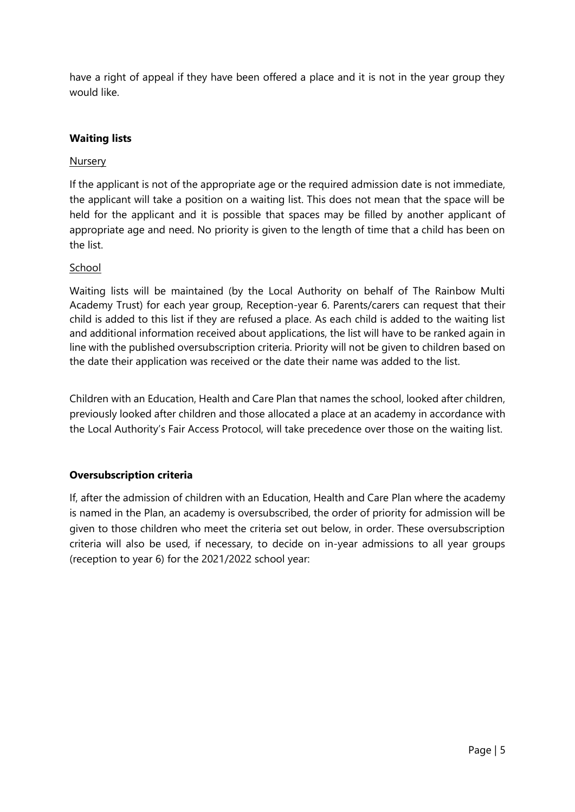have a right of appeal if they have been offered a place and it is not in the year group they would like.

# **Waiting lists**

## Nursery

If the applicant is not of the appropriate age or the required admission date is not immediate, the applicant will take a position on a waiting list. This does not mean that the space will be held for the applicant and it is possible that spaces may be filled by another applicant of appropriate age and need. No priority is given to the length of time that a child has been on the list.

#### School

Waiting lists will be maintained (by the Local Authority on behalf of The Rainbow Multi Academy Trust) for each year group, Reception-year 6. Parents/carers can request that their child is added to this list if they are refused a place. As each child is added to the waiting list and additional information received about applications, the list will have to be ranked again in line with the published oversubscription criteria. Priority will not be given to children based on the date their application was received or the date their name was added to the list.

Children with an Education, Health and Care Plan that names the school, looked after children, previously looked after children and those allocated a place at an academy in accordance with the Local Authority's Fair Access Protocol, will take precedence over those on the waiting list.

# **Oversubscription criteria**

If, after the admission of children with an Education, Health and Care Plan where the academy is named in the Plan, an academy is oversubscribed, the order of priority for admission will be given to those children who meet the criteria set out below, in order. These oversubscription criteria will also be used, if necessary, to decide on in-year admissions to all year groups (reception to year 6) for the 2021/2022 school year: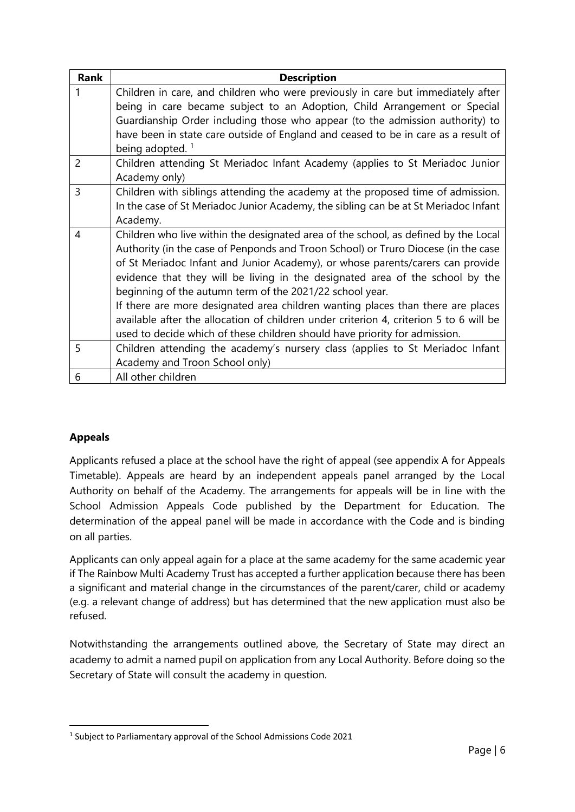| Rank           | <b>Description</b>                                                                     |  |  |
|----------------|----------------------------------------------------------------------------------------|--|--|
|                | Children in care, and children who were previously in care but immediately after       |  |  |
|                | being in care became subject to an Adoption, Child Arrangement or Special              |  |  |
|                | Guardianship Order including those who appear (to the admission authority) to          |  |  |
|                | have been in state care outside of England and ceased to be in care as a result of     |  |  |
|                | being adopted. <sup>1</sup>                                                            |  |  |
| $\overline{2}$ | Children attending St Meriadoc Infant Academy (applies to St Meriadoc Junior           |  |  |
|                | Academy only)                                                                          |  |  |
| 3              | Children with siblings attending the academy at the proposed time of admission.        |  |  |
|                | In the case of St Meriadoc Junior Academy, the sibling can be at St Meriadoc Infant    |  |  |
|                | Academy.                                                                               |  |  |
| 4              | Children who live within the designated area of the school, as defined by the Local    |  |  |
|                | Authority (in the case of Penponds and Troon School) or Truro Diocese (in the case     |  |  |
|                | of St Meriadoc Infant and Junior Academy), or whose parents/carers can provide         |  |  |
|                | evidence that they will be living in the designated area of the school by the          |  |  |
|                | beginning of the autumn term of the 2021/22 school year.                               |  |  |
|                | If there are more designated area children wanting places than there are places        |  |  |
|                | available after the allocation of children under criterion 4, criterion 5 to 6 will be |  |  |
|                | used to decide which of these children should have priority for admission.             |  |  |
| 5              | Children attending the academy's nursery class (applies to St Meriadoc Infant          |  |  |
|                | Academy and Troon School only)                                                         |  |  |
| 6              | All other children                                                                     |  |  |

# **Appeals**

Applicants refused a place at the school have the right of appeal (see appendix A for Appeals Timetable). Appeals are heard by an independent appeals panel arranged by the Local Authority on behalf of the Academy. The arrangements for appeals will be in line with the School Admission Appeals Code published by the Department for Education. The determination of the appeal panel will be made in accordance with the Code and is binding on all parties.

Applicants can only appeal again for a place at the same academy for the same academic year if The Rainbow Multi Academy Trust has accepted a further application because there has been a significant and material change in the circumstances of the parent/carer, child or academy (e.g. a relevant change of address) but has determined that the new application must also be refused.

Notwithstanding the arrangements outlined above, the Secretary of State may direct an academy to admit a named pupil on application from any Local Authority. Before doing so the Secretary of State will consult the academy in question.

<sup>&</sup>lt;sup>1</sup> Subject to Parliamentary approval of the School Admissions Code 2021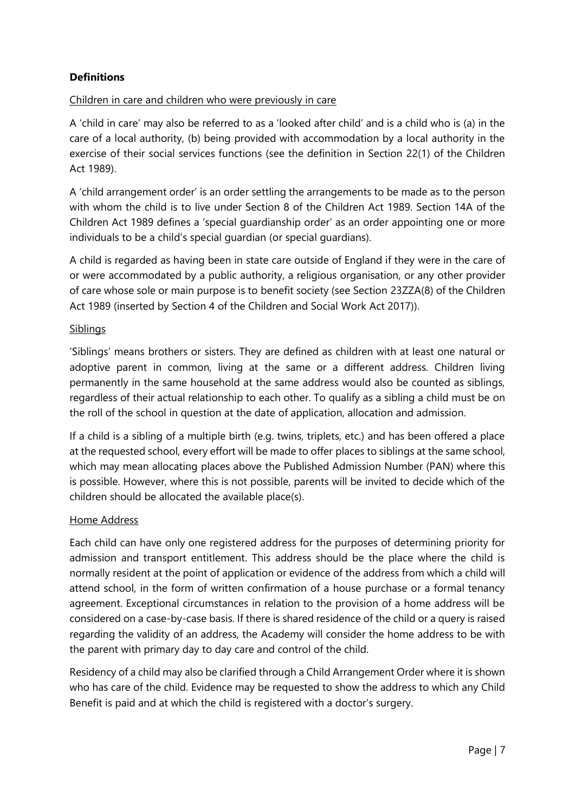# **Definitions**

# Children in care and children who were previously in care

A 'child in care' may also be referred to as a 'looked after child' and is a child who is (a) in the care of a local authority, (b) being provided with accommodation by a local authority in the exercise of their social services functions (see the definition in Section 22(1) of the Children Act 1989).

A 'child arrangement order' is an order settling the arrangements to be made as to the person with whom the child is to live under Section 8 of the Children Act 1989. Section 14A of the Children Act 1989 defines a 'special guardianship order' as an order appointing one or more individuals to be a child's special guardian (or special guardians).

A child is regarded as having been in state care outside of England if they were in the care of or were accommodated by a public authority, a religious organisation, or any other provider of care whose sole or main purpose is to benefit society (see Section 23ZZA(8) of the Children Act 1989 (inserted by Section 4 of the Children and Social Work Act 2017)).

#### **Siblings**

'Siblings' means brothers or sisters. They are defined as children with at least one natural or adoptive parent in common, living at the same or a different address. Children living permanently in the same household at the same address would also be counted as siblings, regardless of their actual relationship to each other. To qualify as a sibling a child must be on the roll of the school in question at the date of application, allocation and admission.

If a child is a sibling of a multiple birth (e.g. twins, triplets, etc.) and has been offered a place at the requested school, every effort will be made to offer places to siblings at the same school, which may mean allocating places above the Published Admission Number (PAN) where this is possible. However, where this is not possible, parents will be invited to decide which of the children should be allocated the available place(s).

#### Home Address

Each child can have only one registered address for the purposes of determining priority for admission and transport entitlement. This address should be the place where the child is normally resident at the point of application or evidence of the address from which a child will attend school, in the form of written confirmation of a house purchase or a formal tenancy agreement. Exceptional circumstances in relation to the provision of a home address will be considered on a case-by-case basis. If there is shared residence of the child or a query is raised regarding the validity of an address, the Academy will consider the home address to be with the parent with primary day to day care and control of the child.

Residency of a child may also be clarified through a Child Arrangement Order where it is shown who has care of the child. Evidence may be requested to show the address to which any Child Benefit is paid and at which the child is registered with a doctor's surgery.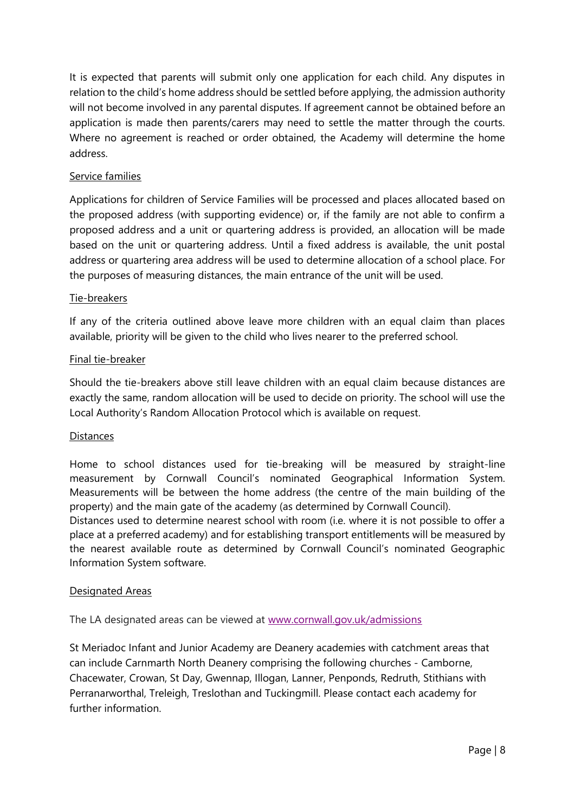It is expected that parents will submit only one application for each child. Any disputes in relation to the child's home address should be settled before applying, the admission authority will not become involved in any parental disputes. If agreement cannot be obtained before an application is made then parents/carers may need to settle the matter through the courts. Where no agreement is reached or order obtained, the Academy will determine the home address.

#### Service families

Applications for children of Service Families will be processed and places allocated based on the proposed address (with supporting evidence) or, if the family are not able to confirm a proposed address and a unit or quartering address is provided, an allocation will be made based on the unit or quartering address. Until a fixed address is available, the unit postal address or quartering area address will be used to determine allocation of a school place. For the purposes of measuring distances, the main entrance of the unit will be used.

#### Tie-breakers

If any of the criteria outlined above leave more children with an equal claim than places available, priority will be given to the child who lives nearer to the preferred school.

#### Final tie-breaker

Should the tie-breakers above still leave children with an equal claim because distances are exactly the same, random allocation will be used to decide on priority. The school will use the Local Authority's Random Allocation Protocol which is available on request.

#### **Distances**

Home to school distances used for tie-breaking will be measured by straight-line measurement by Cornwall Council's nominated Geographical Information System. Measurements will be between the home address (the centre of the main building of the property) and the main gate of the academy (as determined by Cornwall Council).

Distances used to determine nearest school with room (i.e. where it is not possible to offer a place at a preferred academy) and for establishing transport entitlements will be measured by the nearest available route as determined by Cornwall Council's nominated Geographic Information System software.

#### Designated Areas

The LA designated areas can be viewed at [www.cornwall.gov.uk/admissions](http://www.cornwall.gov.uk/admissions)

St Meriadoc Infant and Junior Academy are Deanery academies with catchment areas that can include Carnmarth North Deanery comprising the following churches - Camborne, Chacewater, Crowan, St Day, Gwennap, Illogan, Lanner, Penponds, Redruth, Stithians with Perranarworthal, Treleigh, Treslothan and Tuckingmill. Please contact each academy for further information.